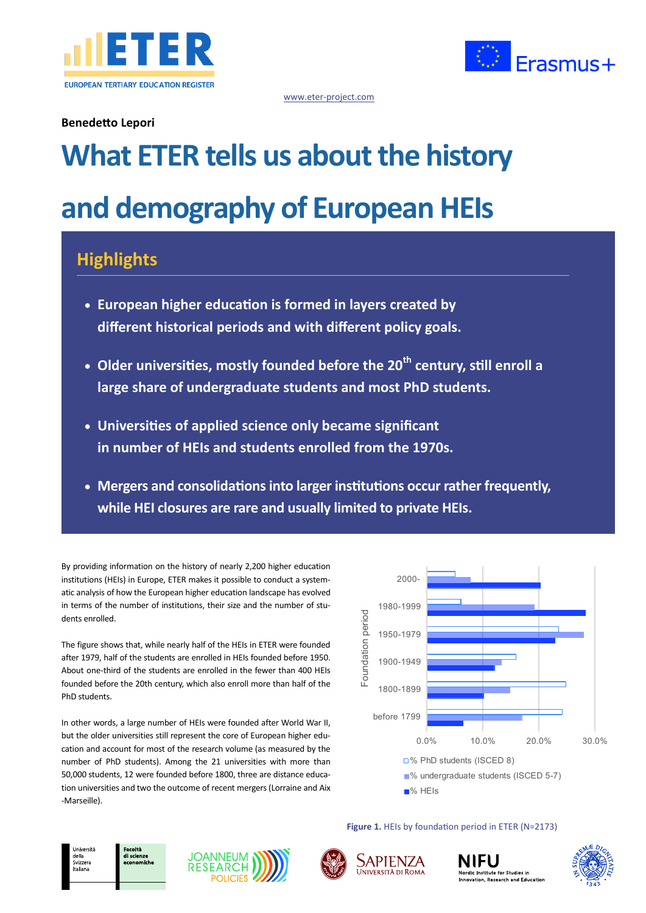



www.eter-project.com

### **Benedetto Lepori**

# **What ETER tells us about the history and demography of European HEIs**

## **Highlights**

- **European higher education is formed in layers created by different historical periods and with different policy goals.**
- **Older universities, mostly founded before the 20th century, still enroll a large share of undergraduate students and most PhD students.**
- **Universities of applied science only became significant in number of HEIs and students enrolled from the 1970s.**
- **Mergers and consolidations into larger institutions occur rather frequently, while HEI closures are rare and usually limited to private HEIs.**

By providing information on the history of nearly 2,200 higher education institutions (HEIs) in Europe, ETER makes it possible to conduct a systematic analysis of how the European higher education landscape has evolved in terms of the number of institutions, their size and the number of students enrolled.

The figure shows that, while nearly half of the HEIs in ETER were founded after 1979, half of the students are enrolled in HEIs founded before 1950. About one-third of the students are enrolled in the fewer than 400 HEIs founded before the 20th century, which also enroll more than half of the PhD students.

In other words, a large number of HEIs were founded after World War II, but the older universities still represent the core of European higher education and account for most of the research volume (as measured by the number of PhD students). Among the 21 universities with more than 50,000 students, 12 were founded before 1800, three are distance education universities and two the outcome of recent mergers (Lorraine and Aix -Marseille).



**Figure 1.** HEIs by foundation period in ETER (N=2173)









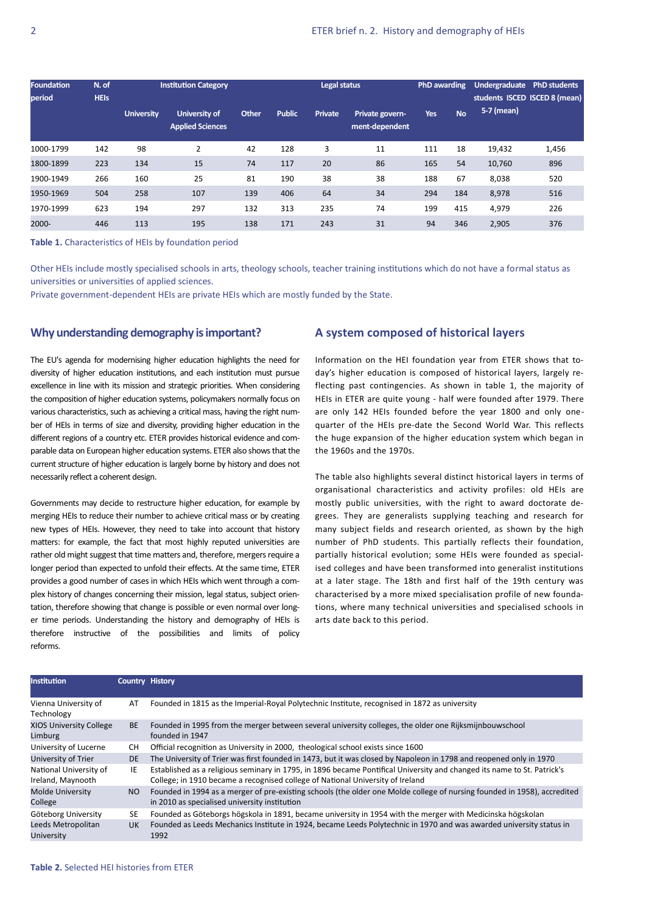| <b>Foundation</b><br>period | N. of<br><b>HEIS</b> | <b>Institution Category</b> |                                          |       | Legal status  |                |                                   | <b>PhD</b> awarding |           | Undergraduate<br>students ISCED ISCED 8 (mean) | <b>PhD students</b> |
|-----------------------------|----------------------|-----------------------------|------------------------------------------|-------|---------------|----------------|-----------------------------------|---------------------|-----------|------------------------------------------------|---------------------|
|                             |                      | <b>University</b>           | University of<br><b>Applied Sciences</b> | Other | <b>Public</b> | <b>Private</b> | Private govern-<br>ment-dependent | <b>Yes</b>          | <b>No</b> | 5-7 (mean)                                     |                     |
| 1000-1799                   | 142                  | 98                          | $\overline{2}$                           | 42    | 128           | 3              | 11                                | 111                 | 18        | 19,432                                         | 1,456               |
| 1800-1899                   | 223                  | 134                         | 15                                       | 74    | 117           | 20             | 86                                | 165                 | 54        | 10,760                                         | 896                 |
| 1900-1949                   | 266                  | 160                         | 25                                       | 81    | 190           | 38             | 38                                | 188                 | 67        | 8,038                                          | 520                 |
| 1950-1969                   | 504                  | 258                         | 107                                      | 139   | 406           | 64             | 34                                | 294                 | 184       | 8,978                                          | 516                 |
| 1970-1999                   | 623                  | 194                         | 297                                      | 132   | 313           | 235            | 74                                | 199                 | 415       | 4,979                                          | 226                 |
| 2000-                       | 446                  | 113                         | 195                                      | 138   | 171           | 243            | 31                                | 94                  | 346       | 2,905                                          | 376                 |

**Table 1.** Characteristics of HEIs by foundation period

Other HEIs include mostly specialised schools in arts, theology schools, teacher training institutions which do not have a formal status as universities or universities of applied sciences.

Private government-dependent HEIs are private HEIs which are mostly funded by the State.

#### **Why understanding demography is important?**

The EU's agenda for modernising higher education highlights the need for diversity of higher education institutions, and each institution must pursue excellence in line with its mission and strategic priorities. When considering the composition of higher education systems, policymakers normally focus on various characteristics, such as achieving a critical mass, having the right number of HEIs in terms of size and diversity, providing higher education in the different regions of a country etc. ETER provides historical evidence and comparable data on European higher education systems. ETER also shows that the current structure of higher education is largely borne by history and does not necessarily reflect a coherent design.

Governments may decide to restructure higher education, for example by merging HEIs to reduce their number to achieve critical mass or by creating new types of HEIs. However, they need to take into account that history matters: for example, the fact that most highly reputed universities are rather old might suggest that time matters and, therefore, mergers require a longer period than expected to unfold their effects. At the same time, ETER provides a good number of cases in which HEIs which went through a complex history of changes concerning their mission, legal status, subject orientation, therefore showing that change is possible or even normal over longer time periods. Understanding the history and demography of HEIs is therefore instructive of the possibilities and limits of policy reforms.

#### **A system composed of historical layers**

Information on the HEI foundation year from ETER shows that today's higher education is composed of historical layers, largely reflecting past contingencies. As shown in table 1, the majority of HEIs in ETER are quite young - half were founded after 1979. There are only 142 HEIs founded before the year 1800 and only onequarter of the HEIs pre-date the Second World War. This reflects the huge expansion of the higher education system which began in the 1960s and the 1970s.

The table also highlights several distinct historical layers in terms of organisational characteristics and activity profiles: old HEIs are mostly public universities, with the right to award doctorate degrees. They are generalists supplying teaching and research for many subject fields and research oriented, as shown by the high number of PhD students. This partially reflects their foundation, partially historical evolution; some HEIs were founded as specialised colleges and have been transformed into generalist institutions at a later stage. The 18th and first half of the 19th century was characterised by a more mixed specialisation profile of new foundations, where many technical universities and specialised schools in arts date back to this period.

| <b>Institution</b>                          | Country History |                                                                                                                                                                                                           |
|---------------------------------------------|-----------------|-----------------------------------------------------------------------------------------------------------------------------------------------------------------------------------------------------------|
|                                             |                 |                                                                                                                                                                                                           |
| Vienna University of<br>Technology          | AT              | Founded in 1815 as the Imperial-Royal Polytechnic Institute, recognised in 1872 as university                                                                                                             |
| <b>XIOS University College</b><br>Limburg   | <b>BE</b>       | Founded in 1995 from the merger between several university colleges, the older one Rijksmijnbouwschool<br>founded in 1947                                                                                 |
| University of Lucerne                       | CH.             | Official recognition as University in 2000, theological school exists since 1600                                                                                                                          |
| University of Trier                         | <b>DE</b>       | The University of Trier was first founded in 1473, but it was closed by Napoleon in 1798 and reopened only in 1970                                                                                        |
| National University of<br>Ireland, Maynooth | IE              | Established as a religious seminary in 1795, in 1896 became Pontifical University and changed its name to St. Patrick's<br>College; in 1910 became a recognised college of National University of Ireland |
| <b>Molde University</b><br>College          | NO.             | Founded in 1994 as a merger of pre-existing schools (the older one Molde college of nursing founded in 1958), accredited<br>in 2010 as specialised university institution                                 |
| Göteborg University                         | SE              | Founded as Göteborgs högskola in 1891, became university in 1954 with the merger with Medicinska högskolan                                                                                                |
| Leeds Metropolitan<br>University            | <b>UK</b>       | Founded as Leeds Mechanics Institute in 1924, became Leeds Polytechnic in 1970 and was awarded university status in<br>1992                                                                               |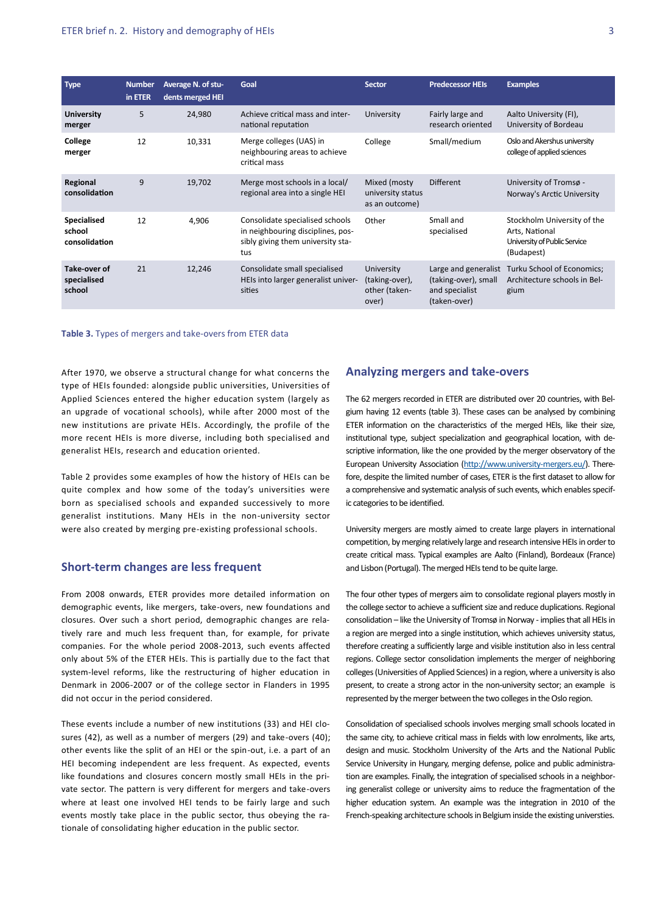| <b>Type</b>                            | <b>Number</b><br>in ETER | Average N. of stu-<br>dents merged HEI | Goal                                                                                                             | <b>Sector</b>                                          | <b>Predecessor HEIs</b>                                                        | <b>Examples</b>                                                                             |
|----------------------------------------|--------------------------|----------------------------------------|------------------------------------------------------------------------------------------------------------------|--------------------------------------------------------|--------------------------------------------------------------------------------|---------------------------------------------------------------------------------------------|
| <b>University</b><br>merger            | 5                        | 24,980                                 | Achieve critical mass and inter-<br>national reputation                                                          | University                                             | Fairly large and<br>research oriented                                          | Aalto University (FI),<br>University of Bordeau                                             |
| College<br>merger                      | 12                       | 10,331                                 | Merge colleges (UAS) in<br>neighbouring areas to achieve<br>critical mass                                        | College                                                | Small/medium                                                                   | Oslo and Akershus university<br>college of applied sciences                                 |
| Regional<br>consolidation              | 9                        | 19,702                                 | Merge most schools in a local/<br>regional area into a single HEI                                                | Mixed (mosty<br>university status<br>as an outcome)    | <b>Different</b>                                                               | University of Tromsø -<br>Norway's Arctic University                                        |
| Specialised<br>school<br>consolidation | 12                       | 4,906                                  | Consolidate specialised schools<br>in neighbouring disciplines, pos-<br>sibly giving them university sta-<br>tus | Other                                                  | Small and<br>specialised                                                       | Stockholm University of the<br>Arts, National<br>University of Public Service<br>(Budapest) |
| Take-over of<br>specialised<br>school  | 21                       | 12,246                                 | Consolidate small specialised<br>HEIs into larger generalist univer-<br>sities                                   | University<br>(taking-over),<br>other (taken-<br>over) | Large and generalist<br>(taking-over), small<br>and specialist<br>(taken-over) | Turku School of Economics;<br>Architecture schools in Bel-<br>gium                          |

#### **Table 3.** Types of mergers and take-overs from ETER data

After 1970, we observe a structural change for what concerns the type of HEIs founded: alongside public universities, Universities of Applied Sciences entered the higher education system (largely as an upgrade of vocational schools), while after 2000 most of the new institutions are private HEIs. Accordingly, the profile of the more recent HEIs is more diverse, including both specialised and generalist HEIs, research and education oriented.

Table 2 provides some examples of how the history of HEIs can be quite complex and how some of the today's universities were born as specialised schools and expanded successively to more generalist institutions. Many HEIs in the non-university sector were also created by merging pre-existing professional schools.

#### **Short-term changes are less frequent**

From 2008 onwards, ETER provides more detailed information on demographic events, like mergers, take-overs, new foundations and closures. Over such a short period, demographic changes are relatively rare and much less frequent than, for example, for private companies. For the whole period 2008-2013, such events affected only about 5% of the ETER HEIs. This is partially due to the fact that system-level reforms, like the restructuring of higher education in Denmark in 2006-2007 or of the college sector in Flanders in 1995 did not occur in the period considered.

These events include a number of new institutions (33) and HEI closures (42), as well as a number of mergers (29) and take-overs (40); other events like the split of an HEI or the spin-out, i.e. a part of an HEI becoming independent are less frequent. As expected, events like foundations and closures concern mostly small HEIs in the private sector. The pattern is very different for mergers and take-overs where at least one involved HEI tends to be fairly large and such events mostly take place in the public sector, thus obeying the rationale of consolidating higher education in the public sector.

#### **Analyzing mergers and take-overs**

The 62 mergers recorded in ETER are distributed over 20 countries, with Belgium having 12 events (table 3). These cases can be analysed by combining ETER information on the characteristics of the merged HEIs, like their size, institutional type, subject specialization and geographical location, with descriptive information, like the one provided by the merger observatory of the European University Association ([http://www.university](http://www.university-mergers.eu/)-mergers.eu/). Therefore, despite the limited number of cases, ETER is the first dataset to allow for a comprehensive and systematic analysis of such events, which enables specific categories to be identified.

University mergers are mostly aimed to create large players in international competition, by merging relatively large and research intensive HEIs in order to create critical mass. Typical examples are Aalto (Finland), Bordeaux (France) and Lisbon (Portugal). The merged HEIs tend to be quite large.

The four other types of mergers aim to consolidate regional players mostly in the college sector to achieve a sufficient size and reduce duplications. Regional consolidation – like the University of Tromsø in Norway - implies that all HEIs in a region are merged into a single institution, which achieves university status, therefore creating a sufficiently large and visible institution also in less central regions. College sector consolidation implements the merger of neighboring colleges (Universities of Applied Sciences) in a region, where a university is also present, to create a strong actor in the non-university sector; an example is represented by the merger between the two colleges in the Oslo region.

Consolidation of specialised schools involves merging small schools located in the same city, to achieve critical mass in fields with low enrolments, like arts, design and music. Stockholm University of the Arts and the National Public Service University in Hungary, merging defense, police and public administration are examples. Finally, the integration of specialised schools in a neighboring generalist college or university aims to reduce the fragmentation of the higher education system. An example was the integration in 2010 of the French-speaking architecture schools in Belgium inside the existing universties.